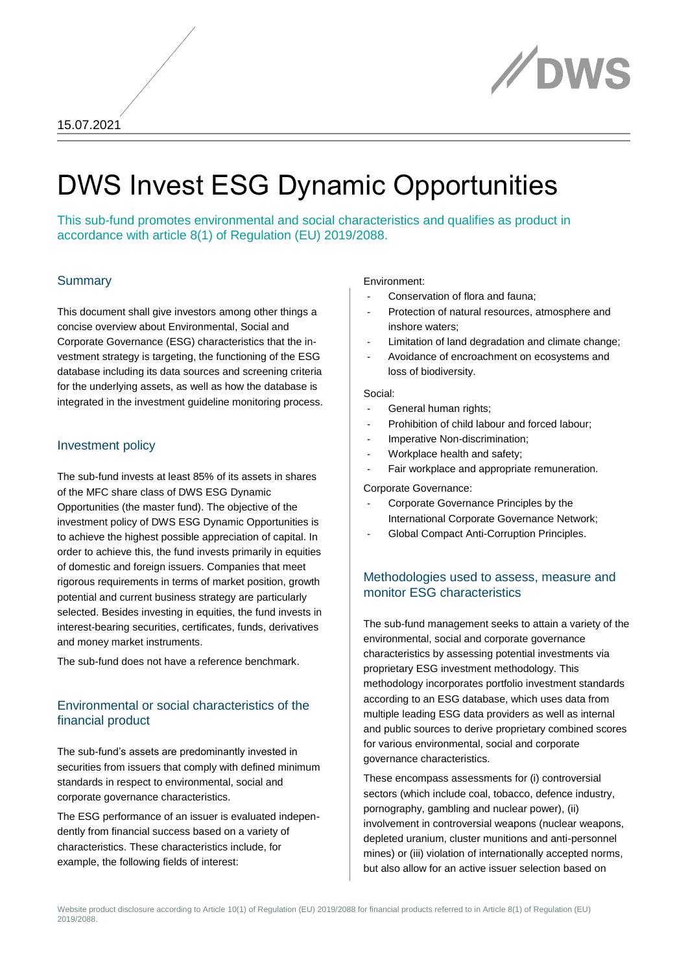

# DWS Invest ESG Dynamic Opportunities

This sub-fund promotes environmental and social characteristics and qualifies as product in accordance with article 8(1) of Regulation (EU) 2019/2088.

#### **Summary**

This document shall give investors among other things a concise overview about Environmental, Social and Corporate Governance (ESG) characteristics that the investment strategy is targeting, the functioning of the ESG database including its data sources and screening criteria for the underlying assets, as well as how the database is integrated in the investment guideline monitoring process.

#### Investment policy

The sub-fund invests at least 85% of its assets in shares of the MFC share class of DWS ESG Dynamic Opportunities (the master fund). The objective of the investment policy of DWS ESG Dynamic Opportunities is to achieve the highest possible appreciation of capital. In order to achieve this, the fund invests primarily in equities of domestic and foreign issuers. Companies that meet rigorous requirements in terms of market position, growth potential and current business strategy are particularly selected. Besides investing in equities, the fund invests in interest-bearing securities, certificates, funds, derivatives and money market instruments.

The sub-fund does not have a reference benchmark.

## Environmental or social characteristics of the financial product

The sub-fund's assets are predominantly invested in securities from issuers that comply with defined minimum standards in respect to environmental, social and corporate governance characteristics.

The ESG performance of an issuer is evaluated independently from financial success based on a variety of characteristics. These characteristics include, for example, the following fields of interest:

#### Environment:

- Conservation of flora and fauna;
- Protection of natural resources, atmosphere and inshore waters;
- Limitation of land degradation and climate change;
- Avoidance of encroachment on ecosystems and loss of biodiversity.

#### Social:

- General human rights;
- Prohibition of child labour and forced labour;
- Imperative Non-discrimination;
- Workplace health and safety;
- Fair workplace and appropriate remuneration.

Corporate Governance:

- Corporate Governance Principles by the International Corporate Governance Network;
- Global Compact Anti-Corruption Principles.

## Methodologies used to assess, measure and monitor ESG characteristics

The sub-fund management seeks to attain a variety of the environmental, social and corporate governance characteristics by assessing potential investments via proprietary ESG investment methodology. This methodology incorporates portfolio investment standards according to an ESG database, which uses data from multiple leading ESG data providers as well as internal and public sources to derive proprietary combined scores for various environmental, social and corporate governance characteristics.

These encompass assessments for (i) controversial sectors (which include coal, tobacco, defence industry, pornography, gambling and nuclear power), (ii) involvement in controversial weapons (nuclear weapons, depleted uranium, cluster munitions and anti-personnel mines) or (iii) violation of internationally accepted norms, but also allow for an active issuer selection based on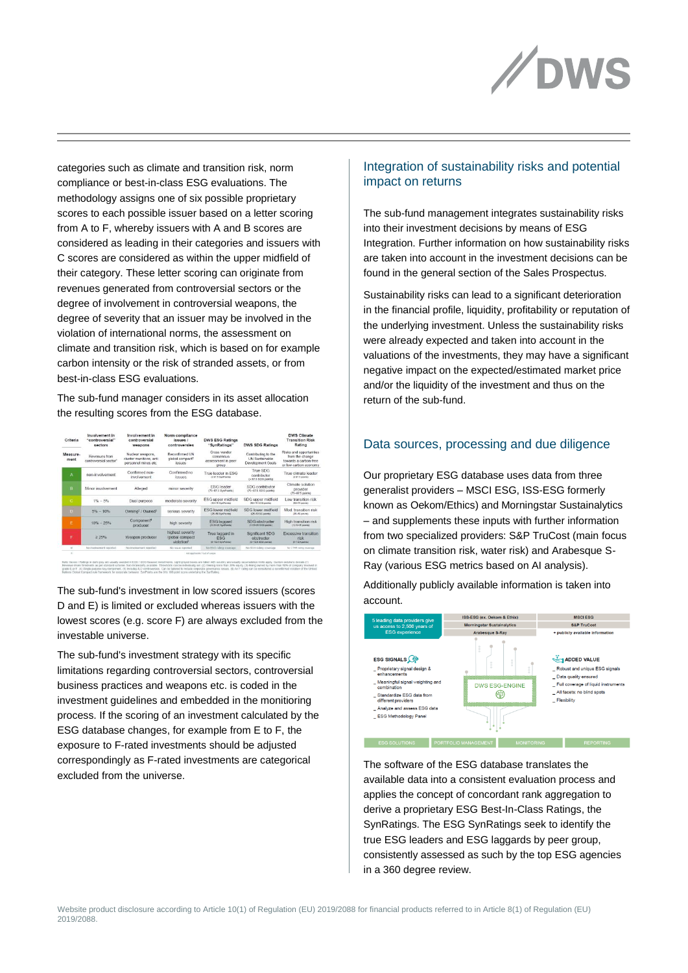

categories such as climate and transition risk, norm compliance or best-in-class ESG evaluations. The methodology assigns one of six possible proprietary scores to each possible issuer based on a letter scoring from A to F, whereby issuers with A and B scores are considered as leading in their categories and issuers with C scores are considered as within the upper midfield of their category. These letter scoring can originate from revenues generated from controversial sectors or the degree of involvement in controversial weapons, the degree of severity that an issuer may be involved in the violation of international norms, the assessment on climate and transition risk, which is based on for example carbon intensity or the risk of stranded assets, or from best-in-class ESG evaluations.

The sub-fund manager considers in its asset allocation the resulting scores from the ESG database.

| Criteria         | Involvement in<br>"controversial"<br>sectors       | Involvement in<br>controversial<br>weapons                          | Norm compliance<br>issues /<br>controversies                   | <b>DWS ESG Ratings</b><br>"SynRatings"                                     | <b>DWS SDG Ratings</b>                                            | <b>DWS Climate</b><br><b>Transition Risk</b><br>Rating                                       |
|------------------|----------------------------------------------------|---------------------------------------------------------------------|----------------------------------------------------------------|----------------------------------------------------------------------------|-------------------------------------------------------------------|----------------------------------------------------------------------------------------------|
| Measure-<br>ment | Revenues from<br>controversial sector <sup>1</sup> | Nuclear weapons.<br>cluster munitions, anti<br>personnel mines etc. | Reconfirmed UN<br>global compact <sup>®</sup><br><b>ISSUES</b> | Cross vendor<br>consensus<br>assessment in peer<br>group                   | Contributing to the<br><b>UN Sustainable</b><br>Development Goals | Risks and opportunities<br>from the change<br>towards a carbon-free<br>or low-carbon economy |
| А                | non-involvement                                    | Confirmed non-<br>involvement                                       | Confirmed no<br><b>ISSUES</b>                                  | True leader in FSG<br>@ \$7.5 SynPointeil                                  | True SDG<br>contributor<br>(a 87.5 SDG points)                    | True climate leader<br>(c 07.5 points)                                                       |
| R                | Minor involvement                                  | Alleged                                                             | minor seventy                                                  | <b>ESG</b> leader<br>(75-87.5 SurPoints)                                   | SDG contributor<br>(75-87.5 SDG points)                           | Climate solution<br>provider<br>(75-87.5 points)                                             |
| $\epsilon$       | $1% - 5%$                                          | Dual purpose                                                        | moderate severity                                              | ESG upper midfield<br>(50-75 SynPoints)                                    | SDG upper midfield<br>(50-75 50th anists)                         | Low transition risk<br>(50-75 points)                                                        |
| n                | $5% - 10%$                                         | Owning <sup>2</sup> / Owned <sup>3</sup>                            | serious severity                                               | <b>ESG lower midfield</b><br>(25-50 SunPoints)                             | SDG lower midfield<br>(25-50.56 points)                           | Mod, transition risk<br>(25-50 points)                                                       |
| F                | $10\% - 25\%$                                      | Component <sup>e</sup><br>producer                                  | high severity.                                                 | <b>ESG</b> laggard<br>(12.5-28 SynPoints)                                  | SDG obstructer<br>(12.6-26.82th search)                           | High transition risk<br>(12.5-25 availab)                                                    |
| п                | 2.25%                                              | Weapon producer                                                     | highest severity<br>/global compact<br>violation®              | True laggard in<br><b>ESG</b><br>$(0 - 12.8.5)$ pri <sup>ph</sup> oiritie) | Significant SDG<br>obstructer<br>(0-12.5 SDO points)              | Excessive transition<br>$risk$<br>$15 - 12.8$ points)                                        |
| M                | No involvement reported                            | No involvement reported                                             | No issue reported                                              | No ERG rating coverage                                                     | No SDG rating coverage                                            | No CTRR rating coverage                                                                      |
|                  | mot applicable / out of songer                     |                                                                     |                                                                |                                                                            |                                                                   |                                                                                              |

The sub-fund's investment in low scored issuers (scores D and E) is limited or excluded whereas issuers with the lowest scores (e.g. score F) are always excluded from the investable universe.

The sub-fund's investment strategy with its specific limitations regarding controversial sectors, controversial business practices and weapons etc. is coded in the investment guidelines and embedded in the monitioring process. If the scoring of an investment calculated by the ESG database changes, for example from E to F, the exposure to F-rated investments should be adjusted correspondingly as F-rated investments are categorical excluded from the universe.

## Integration of sustainability risks and potential impact on returns

The sub-fund management integrates sustainability risks into their investment decisions by means of ESG Integration. Further information on how sustainability risks are taken into account in the investment decisions can be found in the general section of the Sales Prospectus.

Sustainability risks can lead to a significant deterioration in the financial profile, liquidity, profitability or reputation of the underlying investment. Unless the sustainability risks were already expected and taken into account in the valuations of the investments, they may have a significant negative impact on the expected/estimated market price and/or the liquidity of the investment and thus on the return of the sub-fund.

#### Data sources, processing and due diligence

Our proprietary ESG database uses data from three generalist providers – MSCI ESG, ISS-ESG formerly known as Oekom/Ethics) and Morningstar Sustainalytics – and supplements these inputs with further information from two specialized providers: S&P TruCost (main focus on climate transition risk, water risk) and Arabesque S-Ray (various ESG metrics based on AI analysis).

Additionally publicly available information is taken into account.



The software of the ESG database translates the available data into a consistent evaluation process and applies the concept of concordant rank aggregation to derive a proprietary ESG Best-In-Class Ratings, the SynRatings. The ESG SynRatings seek to identify the true ESG leaders and ESG laggards by peer group, consistently assessed as such by the top ESG agencies in a 360 degree review.